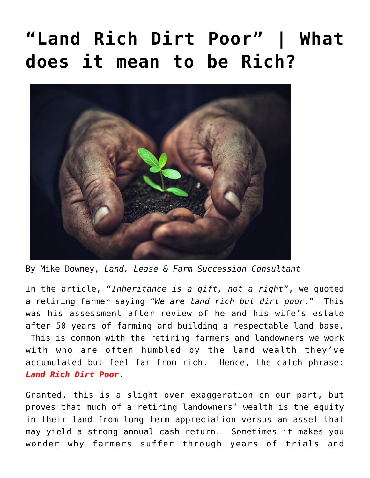## **["Land Rich Dirt Poor" | What](https://www.nextgenag.us/land-rich-dirt-poor-what-does-it-mean-to-be-rich/) [does it mean to be Rich?](https://www.nextgenag.us/land-rich-dirt-poor-what-does-it-mean-to-be-rich/)**



By Mike Downey, *Land, Lease & Farm Succession Consultant*

In the article, ["](https://www.nextgenag.us/a-note-from-mom-inheritance-is-a-gift-not-a-right/)*[Inheritance is a gift, not a right"](https://www.nextgenag.us/a-note-from-mom-inheritance-is-a-gift-not-a-right/)*, we quoted a retiring farmer saying *"We are land rich but dirt poor*." This was his assessment after review of he and his wife's estate after 50 years of farming and building a respectable land base. This is common with the retiring farmers and landowners we work with who are often humbled by the land wealth they've accumulated but feel far from rich. Hence, the catch phrase: *Land Rich Dirt Poor*.

Granted, this is a slight over exaggeration on our part, but proves that much of a retiring landowners' wealth is the equity in their land from long term appreciation versus an asset that may yield a strong annual cash return. Sometimes it makes you wonder why farmers suffer through years of trials and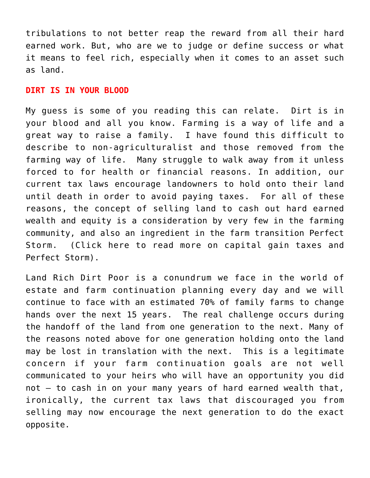tribulations to not better reap the reward from all their hard earned work. But, who are we to judge or define success or what it means to feel rich, especially when it comes to an asset such as land.

## **DIRT IS IN YOUR BLOOD**

My guess is some of you reading this can relate. Dirt is in your blood and all you know. Farming is a way of life and a great way to raise a family. I have found this difficult to describe to non-agriculturalist and those removed from the farming way of life. Many struggle to walk away from it unless forced to for health or financial reasons. In addition, our current tax laws encourage landowners to hold onto their land until death in order to avoid paying taxes. For all of these reasons, the concept of selling land to cash out hard earned wealth and equity is a consideration by very few in the farming community, and also an ingredient in the farm transition Perfect Storm. (Click here to read more on [capital gain taxes](https://www.nextgenag.us/the-lost-art-of-using-a-land-contract-for-buying-selling-farmland/) and [Perfect Storm](https://www.nextgenag.us/perfect-storm-looms-in-agriculture-again/)).

Land Rich Dirt Poor is a conundrum we face in the world of estate and farm continuation planning every day and we will continue to face with an estimated 70% of family farms to change hands over the next 15 years. The real challenge occurs during the handoff of the land from one generation to the next. Many of the reasons noted above for one generation holding onto the land may be lost in translation with the next. This is a legitimate concern if your farm continuation goals are not well communicated to your heirs who will have an opportunity you did not – to cash in on your many years of hard earned wealth that, ironically, the current tax laws that discouraged you from selling may now encourage the next generation to do the exact opposite.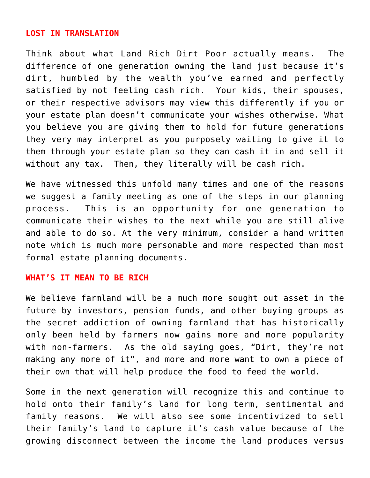## **LOST IN TRANSLATION**

Think about what Land Rich Dirt Poor actually means. The difference of one generation owning the land just because it's dirt, humbled by the wealth you've earned and perfectly satisfied by not feeling cash rich. Your kids, their spouses, or their respective advisors may view this differently if you or your estate plan doesn't communicate your wishes otherwise. What you believe you are giving them to hold for future generations they very may interpret as you purposely waiting to give it to them through your estate plan so they can cash it in and sell it without any tax. Then, they literally will be cash rich.

We have witnessed this unfold many times and one of the reasons we suggest a family meeting as one of the steps in our planning process. This is an opportunity for one generation to communicate their wishes to the next while you are still alive and able to do so. At the very minimum, consider a hand written note which is much more personable and more respected than most formal estate planning documents.

## **WHAT'S IT MEAN TO BE RICH**

We believe farmland will be a much more sought out asset in the future by investors, pension funds, and other buying groups as the secret addiction of owning farmland that has historically only been held by farmers now gains more and more popularity with non-farmers. As the old saying goes, "Dirt, they're not making any more of it", and more and more want to own a piece of their own that will help produce the food to feed the world.

Some in the next generation will recognize this and continue to hold onto their family's land for long term, sentimental and family reasons. We will also see some incentivized to sell their family's land to capture it's cash value because of the growing disconnect between the income the land produces versus